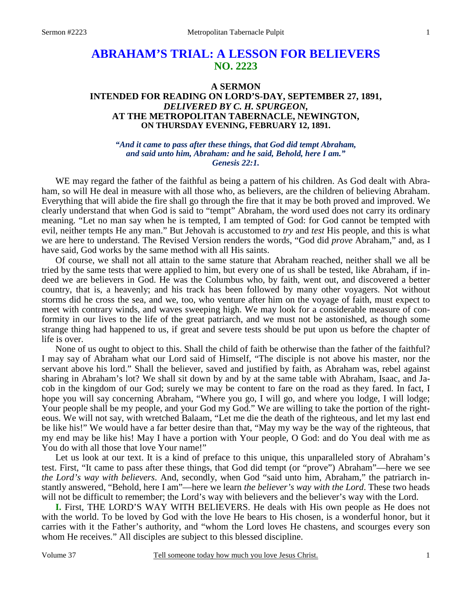# **ABRAHAM'S TRIAL: A LESSON FOR BELIEVERS NO. 2223**

# **A SERMON INTENDED FOR READING ON LORD'S-DAY, SEPTEMBER 27, 1891,**  *DELIVERED BY C. H. SPURGEON,*  **AT THE METROPOLITAN TABERNACLE, NEWINGTON, ON THURSDAY EVENING, FEBRUARY 12, 1891.**

#### *"And it came to pass after these things, that God did tempt Abraham, and said unto him, Abraham: and he said, Behold, here I am." Genesis 22:1.*

WE may regard the father of the faithful as being a pattern of his children. As God dealt with Abraham, so will He deal in measure with all those who, as believers, are the children of believing Abraham. Everything that will abide the fire shall go through the fire that it may be both proved and improved. We clearly understand that when God is said to "tempt" Abraham, the word used does not carry its ordinary meaning. "Let no man say when he is tempted, I am tempted of God: for God cannot be tempted with evil, neither tempts He any man." But Jehovah is accustomed to *try* and *test* His people, and this is what we are here to understand. The Revised Version renders the words, "God did *prove* Abraham," and, as I have said, God works by the same method with all His saints.

 Of course, we shall not all attain to the same stature that Abraham reached, neither shall we all be tried by the same tests that were applied to him, but every one of us shall be tested, like Abraham, if indeed we are believers in God. He was the Columbus who, by faith, went out, and discovered a better country, that is, a heavenly; and his track has been followed by many other voyagers. Not without storms did he cross the sea, and we, too, who venture after him on the voyage of faith, must expect to meet with contrary winds, and waves sweeping high. We may look for a considerable measure of conformity in our lives to the life of the great patriarch, and we must not be astonished, as though some strange thing had happened to us, if great and severe tests should be put upon us before the chapter of life is over.

 None of us ought to object to this. Shall the child of faith be otherwise than the father of the faithful? I may say of Abraham what our Lord said of Himself, "The disciple is not above his master, nor the servant above his lord." Shall the believer, saved and justified by faith, as Abraham was, rebel against sharing in Abraham's lot? We shall sit down by and by at the same table with Abraham, Isaac, and Jacob in the kingdom of our God; surely we may be content to fare on the road as they fared. In fact, I hope you will say concerning Abraham, "Where you go, I will go, and where you lodge, I will lodge; Your people shall be my people, and your God my God." We are willing to take the portion of the righteous. We will not say, with wretched Balaam, "Let me die the death of the righteous, and let my last end be like his!" We would have a far better desire than that, "May my way be the way of the righteous, that my end may be like his! May I have a portion with Your people, O God: and do You deal with me as You do with all those that love Your name!"

 Let us look at our text. It is a kind of preface to this unique, this unparalleled story of Abraham's test. First, "It came to pass after these things, that God did tempt (or "prove") Abraham"—here we see *the Lord's way with believers*. And, secondly, when God "said unto him, Abraham," the patriarch instantly answered, "Behold, here I am"—here we learn *the believer's way with the Lord*. These two heads will not be difficult to remember; the Lord's way with believers and the believer's way with the Lord.

**I.** First, THE LORD'S WAY WITH BELIEVERS. He deals with His own people as He does not with the world. To be loved by God with the love He bears to His chosen, is a wonderful honor, but it carries with it the Father's authority, and "whom the Lord loves He chastens, and scourges every son whom He receives." All disciples are subject to this blessed discipline.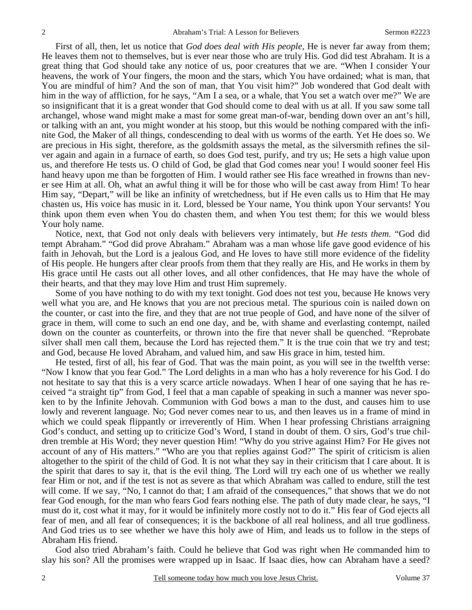First of all, then, let us notice that *God does deal with His people,* He is never far away from them; He leaves them not to themselves, but is ever near those who are truly His. God did test Abraham. It is a great thing that God should take any notice of us, poor creatures that we are. "When I consider Your heavens, the work of Your fingers, the moon and the stars, which You have ordained; what is man, that You are mindful of him? And the son of man, that You visit him?" Job wondered that God dealt with him in the way of affliction, for he says, "Am I a sea, or a whale, that You set a watch over me?" We are so insignificant that it is a great wonder that God should come to deal with us at all. If you saw some tall archangel, whose wand might make a mast for some great man-of-war, bending down over an ant's hill, or talking with an ant, you might wonder at his stoop, but this would be nothing compared with the infinite God, the Maker of all things, condescending to deal with us worms of the earth. Yet He does so. We are precious in His sight, therefore, as the goldsmith assays the metal, as the silversmith refines the silver again and again in a furnace of earth, so does God test, purify, and try us; He sets a high value upon us, and therefore He tests us. O child of God, be glad that God comes near you! I would sooner feel His hand heavy upon me than be forgotten of Him. I would rather see His face wreathed in frowns than never see Him at all. Oh, what an awful thing it will be for those who will be cast away from Him! To hear Him say, "Depart," will be like an infinity of wretchedness, but if He even calls us to Him that He may chasten us, His voice has music in it. Lord, blessed be Your name, You think upon Your servants! You think upon them even when You do chasten them, and when You test them; for this we would bless Your holy name.

 Notice, next, that God not only deals with believers very intimately, but *He tests them*. "God did tempt Abraham." "God did prove Abraham." Abraham was a man whose life gave good evidence of his faith in Jehovah, but the Lord is a jealous God, and He loves to have still more evidence of the fidelity of His people. He hungers after clear proofs from them that they really are His, and He works in them by His grace until He casts out all other loves, and all other confidences, that He may have the whole of their hearts, and that they may love Him and trust Him supremely.

 Some of you have nothing to do with my text tonight. God does not test you, because He knows very well what you are, and He knows that you are not precious metal. The spurious coin is nailed down on the counter, or cast into the fire, and they that are not true people of God, and have none of the silver of grace in them, will come to such an end one day, and be, with shame and everlasting contempt, nailed down on the counter as counterfeits, or thrown into the fire that never shall be quenched. "Reprobate silver shall men call them, because the Lord has rejected them." It is the true coin that we try and test; and God, because He loved Abraham, and valued him, and saw His grace in him, tested him.

 He tested, first of all, his fear of God. That was the main point, as you will see in the twelfth verse: "Now I know that you fear God." The Lord delights in a man who has a holy reverence for his God. I do not hesitate to say that this is a very scarce article nowadays. When I hear of one saying that he has received "a straight tip" from God, I feel that a man capable of speaking in such a manner was never spoken to by the Infinite Jehovah. Communion with God bows a man to the dust, and causes him to use lowly and reverent language. No; God never comes near to us, and then leaves us in a frame of mind in which we could speak flippantly or irreverently of Him. When I hear professing Christians arraigning God's conduct, and setting up to criticize God's Word, I stand in doubt of them. O sirs, God's true children tremble at His Word; they never question Him! "Why do you strive against Him? For He gives not account of any of His matters." "Who are you that replies against God?" The spirit of criticism is alien altogether to the spirit of the child of God. It is not what they say in their criticism that I care about. It is the spirit that dares to say it, that is the evil thing. The Lord will try each one of us whether we really fear Him or not, and if the test is not as severe as that which Abraham was called to endure, still the test will come. If we say, "No, I cannot do that; I am afraid of the consequences," that shows that we do not fear God enough, for the man who fears God fears nothing else. The path of duty made clear, he says, "I must do it, cost what it may, for it would be infinitely more costly not to do it." His fear of God ejects all fear of men, and all fear of consequences; it is the backbone of all real holiness, and all true godliness. And God tries us to see whether we have this holy awe of Him, and leads us to follow in the steps of Abraham His friend.

 God also tried Abraham's faith. Could he believe that God was right when He commanded him to slay his son? All the promises were wrapped up in Isaac. If Isaac dies, how can Abraham have a seed?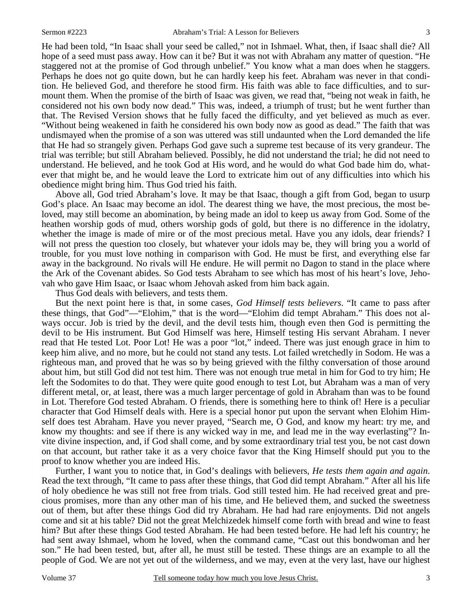He had been told, "In Isaac shall your seed be called," not in Ishmael. What, then, if Isaac shall die? All hope of a seed must pass away. How can it be? But it was not with Abraham any matter of question. "He staggered not at the promise of God through unbelief." You know what a man does when he staggers. Perhaps he does not go quite down, but he can hardly keep his feet. Abraham was never in that condition. He believed God, and therefore he stood firm. His faith was able to face difficulties, and to surmount them. When the promise of the birth of Isaac was given, we read that, "being not weak in faith, he considered not his own body now dead." This was, indeed, a triumph of trust; but he went further than that. The Revised Version shows that he fully faced the difficulty, and yet believed as much as ever. "Without being weakened in faith he considered his own body now as good as dead." The faith that was undismayed when the promise of a son was uttered was still undaunted when the Lord demanded the life that He had so strangely given. Perhaps God gave such a supreme test because of its very grandeur. The trial was terrible; but still Abraham believed. Possibly, he did not understand the trial; he did not need to understand. He believed, and he took God at His word, and he would do what God bade him do, whatever that might be, and he would leave the Lord to extricate him out of any difficulties into which his obedience might bring him. Thus God tried his faith.

 Above all, God tried Abraham's love. It may be that Isaac, though a gift from God, began to usurp God's place. An Isaac may become an idol. The dearest thing we have, the most precious, the most beloved, may still become an abomination, by being made an idol to keep us away from God. Some of the heathen worship gods of mud, others worship gods of gold, but there is no difference in the idolatry, whether the image is made of mire or of the most precious metal. Have you any idols, dear friends? I will not press the question too closely, but whatever your idols may be, they will bring you a world of trouble, for you must love nothing in comparison with God. He must be first, and everything else far away in the background. No rivals will He endure. He will permit no Dagon to stand in the place where the Ark of the Covenant abides. So God tests Abraham to see which has most of his heart's love, Jehovah who gave Him Isaac, or Isaac whom Jehovah asked from him back again.

Thus God deals with believers, and tests them.

 But the next point here is that, in some cases, *God Himself tests believers*. "It came to pass after these things, that God"—"Elohim," that is the word—"Elohim did tempt Abraham." This does not always occur. Job is tried by the devil, and the devil tests him, though even then God is permitting the devil to be His instrument. But God Himself was here, Himself testing His servant Abraham. I never read that He tested Lot. Poor Lot! He was a poor "lot," indeed. There was just enough grace in him to keep him alive, and no more, but he could not stand any tests. Lot failed wretchedly in Sodom. He was a righteous man, and proved that he was so by being grieved with the filthy conversation of those around about him, but still God did not test him. There was not enough true metal in him for God to try him; He left the Sodomites to do that. They were quite good enough to test Lot, but Abraham was a man of very different metal, or, at least, there was a much larger percentage of gold in Abraham than was to be found in Lot. Therefore God tested Abraham. O friends, there is something here to think of! Here is a peculiar character that God Himself deals with. Here is a special honor put upon the servant when Elohim Himself does test Abraham. Have you never prayed, "Search me, O God, and know my heart: try me, and know my thoughts: and see if there is any wicked way in me, and lead me in the way everlasting"? Invite divine inspection, and, if God shall come, and by some extraordinary trial test you, be not cast down on that account, but rather take it as a very choice favor that the King Himself should put you to the proof to know whether you are indeed His.

 Further, I want you to notice that, in God's dealings with believers, *He tests them again and again*. Read the text through, "It came to pass after these things, that God did tempt Abraham." After all his life of holy obedience he was still not free from trials. God still tested him. He had received great and precious promises, more than any other man of his time, and He believed them, and sucked the sweetness out of them, but after these things God did try Abraham. He had had rare enjoyments. Did not angels come and sit at his table? Did not the great Melchizedek himself come forth with bread and wine to feast him? But after these things God tested Abraham. He had been tested before. He had left his country; he had sent away Ishmael, whom he loved, when the command came, "Cast out this bondwoman and her son." He had been tested, but, after all, he must still be tested. These things are an example to all the people of God. We are not yet out of the wilderness, and we may, even at the very last, have our highest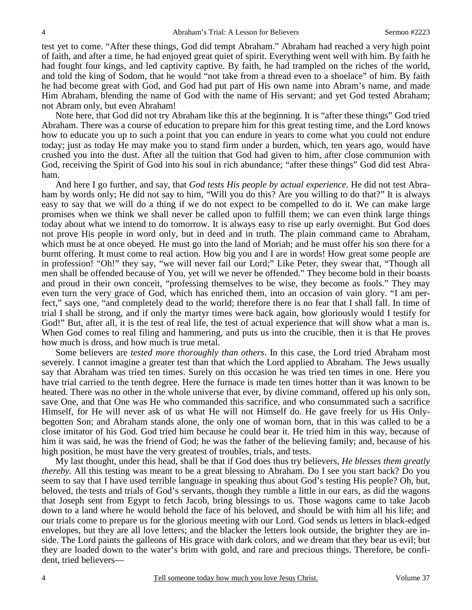test yet to come. "After these things, God did tempt Abraham." Abraham had reached a very high point of faith, and after a time, he had enjoyed great quiet of spirit. Everything went well with him. By faith he had fought four kings, and led captivity captive. By faith, he had trampled on the riches of the world, and told the king of Sodom, that he would "not take from a thread even to a shoelace" of him. By faith he had become great with God, and God had put part of His own name into Abram's name, and made Him Abraham, blending the name of God with the name of His servant; and yet God tested Abraham; not Abram only, but even Abraham!

 Note here, that God did not try Abraham like this at the beginning. It is "after these things" God tried Abraham. There was a course of education to prepare him for this great testing time, and the Lord knows how to educate you up to such a point that you can endure in years to come what you could not endure today; just as today He may make you to stand firm under a burden, which, ten years ago, would have crushed you into the dust. After all the tuition that God had given to him, after close communion with God, receiving the Spirit of God into his soul in rich abundance; "after these things" God did test Abraham.

 And here I go further, and say, that *God tests His people by actual experience*. He did not test Abraham by words only; He did not say to him, "Will you do this? Are you willing to do that?" It is always easy to say that we will do a thing if we do not expect to be compelled to do it. We can make large promises when we think we shall never be called upon to fulfill them; we can even think large things today about what we intend to do tomorrow. It is always easy to rise up early overnight. But God does not prove His people in word only, but in deed and in truth. The plain command came to Abraham, which must be at once obeyed. He must go into the land of Moriah; and he must offer his son there for a burnt offering. It must come to real action. How big you and I are in words! How great some people are in profession! "Oh!" they say, "we will never fail our Lord;" Like Peter, they swear that, "Though all men shall be offended because of You, yet will we never be offended." They become bold in their boasts and proud in their own conceit, "professing themselves to be wise, they become as fools." They may even turn the very grace of God, which has enriched them, into an occasion of vain glory. "I am perfect," says one, "and completely dead to the world; therefore there is no fear that I shall fall. In time of trial I shall be strong, and if only the martyr times were back again, how gloriously would I testify for God!" But, after all, it is the test of real life, the test of actual experience that will show what a man is. When God comes to real filing and hammering, and puts us into the crucible, then it is that He proves how much is dross, and how much is true metal.

 Some believers are *tested more thoroughly than others*. In this case, the Lord tried Abraham most severely. I cannot imagine a greater test than that which the Lord applied to Abraham. The Jews usually say that Abraham was tried ten times. Surely on this occasion he was tried ten times in one. Here you have trial carried to the tenth degree. Here the furnace is made ten times hotter than it was known to be heated. There was no other in the whole universe that ever, by divine command, offered up his only son, save One, and that One was He who commanded this sacrifice, and who consummated such a sacrifice Himself, for He will never ask of us what He will not Himself do. He gave freely for us His Onlybegotten Son; and Abraham stands alone, the only one of woman born, that in this was called to be a close imitator of his God. God tried him because he could bear it. He tried him in this way, because of him it was said, he was the friend of God; he was the father of the believing family; and, because of his high position, he must have the very greatest of troubles, trials, and tests.

 My last thought, under this head, shall be that if God does thus try believers, *He blesses them greatly thereby.* All this testing was meant to be a great blessing to Abraham. Do I see you start back? Do you seem to say that I have used terrible language in speaking thus about God's testing His people? Oh, but, beloved, the tests and trials of God's servants, though they rumble a little in our ears, as did the wagons that Joseph sent from Egypt to fetch Jacob, bring blessings to us. Those wagons came to take Jacob down to a land where he would behold the face of his beloved, and should be with him all his life; and our trials come to prepare us for the glorious meeting with our Lord. God sends us letters in black-edged envelopes, but they are all love letters; and the blacker the letters look outside, the brighter they are inside. The Lord paints the galleons of His grace with dark colors, and we dream that they bear us evil; but they are loaded down to the water's brim with gold, and rare and precious things. Therefore, be confident, tried believers—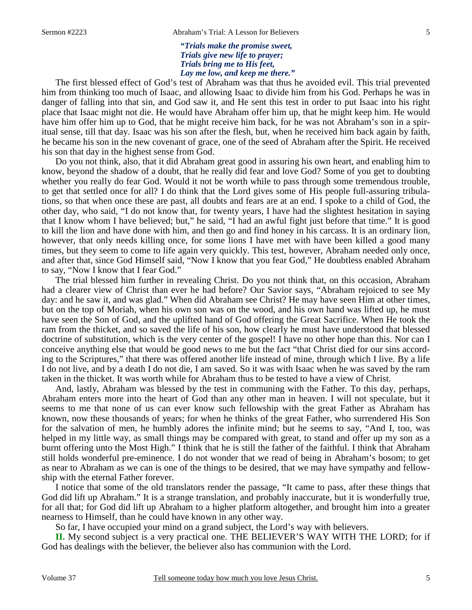*"Trials make the promise sweet, Trials give new life to prayer; Trials bring me to His feet, Lay me low, and keep me there."* 

The first blessed effect of God's test of Abraham was that thus he avoided evil. This trial prevented him from thinking too much of Isaac, and allowing Isaac to divide him from his God. Perhaps he was in danger of falling into that sin, and God saw it, and He sent this test in order to put Isaac into his right place that Isaac might not die. He would have Abraham offer him up, that he might keep him. He would have him offer him up to God, that he might receive him back, for he was not Abraham's son in a spiritual sense, till that day. Isaac was his son after the flesh, but, when he received him back again by faith, he became his son in the new covenant of grace, one of the seed of Abraham after the Spirit. He received his son that day in the highest sense from God.

 Do you not think, also, that it did Abraham great good in assuring his own heart, and enabling him to know, beyond the shadow of a doubt, that he really did fear and love God? Some of you get to doubting whether you really do fear God. Would it not be worth while to pass through some tremendous trouble, to get that settled once for all? I do think that the Lord gives some of His people full-assuring tribulations, so that when once these are past, all doubts and fears are at an end. I spoke to a child of God, the other day, who said, "I do not know that, for twenty years, I have had the slightest hesitation in saying that I know whom I have believed; but," he said, "I had an awful fight just before that time." It is good to kill the lion and have done with him, and then go and find honey in his carcass. It is an ordinary lion, however, that only needs killing once, for some lions I have met with have been killed a good many times, but they seem to come to life again very quickly. This test, however, Abraham needed only once, and after that, since God Himself said, "Now I know that you fear God," He doubtless enabled Abraham to say, "Now I know that I fear God."

 The trial blessed him further in revealing Christ. Do you not think that, on this occasion, Abraham had a clearer view of Christ than ever he had before? Our Savior says, "Abraham rejoiced to see My day: and he saw it, and was glad." When did Abraham see Christ? He may have seen Him at other times, but on the top of Moriah, when his own son was on the wood, and his own hand was lifted up, he must have seen the Son of God, and the uplifted hand of God offering the Great Sacrifice. When He took the ram from the thicket, and so saved the life of his son, how clearly he must have understood that blessed doctrine of substitution, which is the very center of the gospel! I have no other hope than this. Nor can I conceive anything else that would be good news to me but the fact "that Christ died for our sins according to the Scriptures," that there was offered another life instead of mine, through which I live. By a life I do not live, and by a death I do not die, I am saved. So it was with Isaac when he was saved by the ram taken in the thicket. It was worth while for Abraham thus to be tested to have a view of Christ.

 And, lastly, Abraham was blessed by the test in communing with the Father. To this day, perhaps, Abraham enters more into the heart of God than any other man in heaven. I will not speculate, but it seems to me that none of us can ever know such fellowship with the great Father as Abraham has known, now these thousands of years; for when he thinks of the great Father, who surrendered His Son for the salvation of men, he humbly adores the infinite mind; but he seems to say, "And I, too, was helped in my little way, as small things may be compared with great, to stand and offer up my son as a burnt offering unto the Most High." I think that he is still the father of the faithful. I think that Abraham still holds wonderful pre-eminence. I do not wonder that we read of being in Abraham's bosom; to get as near to Abraham as we can is one of the things to be desired, that we may have sympathy and fellowship with the eternal Father forever.

 I notice that some of the old translators render the passage, "It came to pass, after these things that God did lift up Abraham." It is a strange translation, and probably inaccurate, but it is wonderfully true, for all that; for God did lift up Abraham to a higher platform altogether, and brought him into a greater nearness to Himself, than he could have known in any other way.

So far, I have occupied your mind on a grand subject, the Lord's way with believers.

**II.** My second subject is a very practical one. THE BELIEVER'S WAY WITH THE LORD; for if God has dealings with the believer, the believer also has communion with the Lord.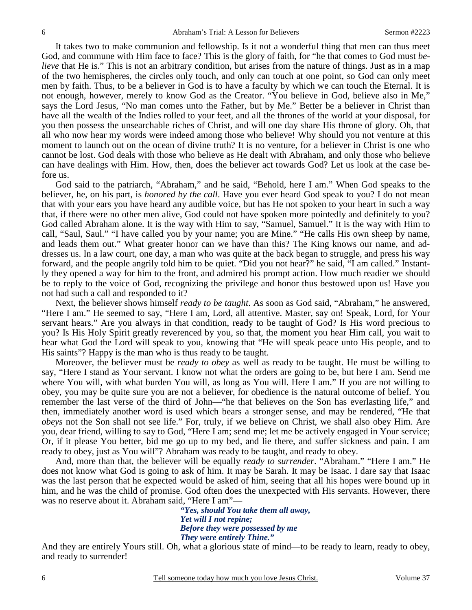It takes two to make communion and fellowship. Is it not a wonderful thing that men can thus meet God, and commune with Him face to face? This is the glory of faith, for "he that comes to God must *believe* that He is." This is not an arbitrary condition, but arises from the nature of things. Just as in a map of the two hemispheres, the circles only touch, and only can touch at one point, so God can only meet men by faith. Thus, to be a believer in God is to have a faculty by which we can touch the Eternal. It is not enough, however, merely to know God as the Creator. "You believe in God, believe also in Me," says the Lord Jesus, "No man comes unto the Father, but by Me." Better be a believer in Christ than have all the wealth of the Indies rolled to your feet, and all the thrones of the world at your disposal, for you then possess the unsearchable riches of Christ, and will one day share His throne of glory. Oh, that all who now hear my words were indeed among those who believe! Why should you not venture at this moment to launch out on the ocean of divine truth? It is no venture, for a believer in Christ is one who cannot be lost. God deals with those who believe as He dealt with Abraham, and only those who believe can have dealings with Him. How, then, does the believer act towards God? Let us look at the case before us.

 God said to the patriarch, "Abraham," and he said, "Behold, here I am." When God speaks to the believer, he, on his part, is *honored by the call*. Have you ever heard God speak to you? I do not mean that with your ears you have heard any audible voice, but has He not spoken to your heart in such a way that, if there were no other men alive, God could not have spoken more pointedly and definitely to you? God called Abraham alone. It is the way with Him to say, "Samuel, Samuel." It is the way with Him to call, "Saul, Saul." "I have called you by your name; you are Mine." "He calls His own sheep by name, and leads them out." What greater honor can we have than this? The King knows our name, and addresses us. In a law court, one day, a man who was quite at the back began to struggle, and press his way forward, and the people angrily told him to be quiet. "Did you not hear?" he said, "I am called." Instantly they opened a way for him to the front, and admired his prompt action. How much readier we should be to reply to the voice of God, recognizing the privilege and honor thus bestowed upon us! Have you not had such a call and responded to it?

 Next, the believer shows himself *ready to be taught*. As soon as God said, "Abraham," he answered, "Here I am." He seemed to say, "Here I am, Lord, all attentive. Master, say on! Speak, Lord, for Your servant hears." Are you always in that condition, ready to be taught of God? Is His word precious to you? Is His Holy Spirit greatly reverenced by you, so that, the moment you hear Him call, you wait to hear what God the Lord will speak to you, knowing that "He will speak peace unto His people, and to His saints"? Happy is the man who is thus ready to be taught.

 Moreover, the believer must be *ready to obey* as well as ready to be taught. He must be willing to say, "Here I stand as Your servant. I know not what the orders are going to be, but here I am. Send me where You will, with what burden You will, as long as You will. Here I am." If you are not willing to obey, you may be quite sure you are not a believer, for obedience is the natural outcome of belief. You remember the last verse of the third of John—"he that believes on the Son has everlasting life," and then, immediately another word is used which bears a stronger sense, and may be rendered, "He that *obeys* not the Son shall not see life." For, truly, if we believe on Christ, we shall also obey Him. Are you, dear friend, willing to say to God, "Here I am; send me; let me be actively engaged in Your service; Or, if it please You better, bid me go up to my bed, and lie there, and suffer sickness and pain. I am ready to obey, just as You will"? Abraham was ready to be taught, and ready to obey.

 And, more than that, the believer will be equally *ready to surrender*. "Abraham." "Here I am." He does not know what God is going to ask of him. It may be Sarah. It may be Isaac. I dare say that Isaac was the last person that he expected would be asked of him, seeing that all his hopes were bound up in him, and he was the child of promise. God often does the unexpected with His servants. However, there was no reserve about it. Abraham said, "Here I am"—

> *"Yes, should You take them all away, Yet will I not repine; Before they were possessed by me They were entirely Thine."*

And they are entirely Yours still. Oh, what a glorious state of mind—to be ready to learn, ready to obey, and ready to surrender!

6 Tell someone today how much you love Jesus Christ. Volume 37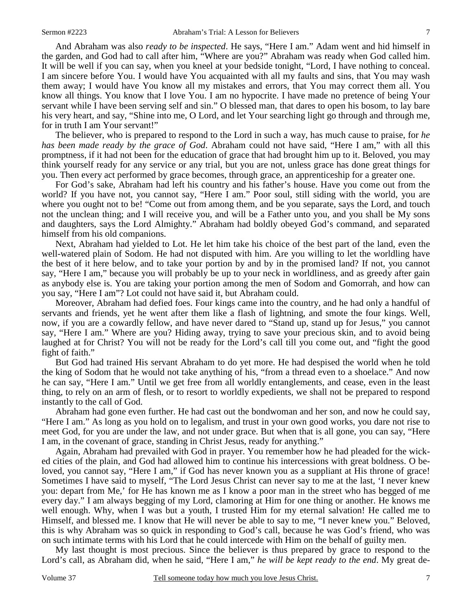And Abraham was also *ready to be inspected*. He says, "Here I am." Adam went and hid himself in the garden, and God had to call after him, "Where are you?" Abraham was ready when God called him. It will be well if you can say, when you kneel at your bedside tonight, "Lord, I have nothing to conceal. I am sincere before You. I would have You acquainted with all my faults and sins, that You may wash them away; I would have You know all my mistakes and errors, that You may correct them all. You know all things. You know that I love You. I am no hypocrite. I have made no pretence of being Your servant while I have been serving self and sin." O blessed man, that dares to open his bosom, to lay bare his very heart, and say, "Shine into me, O Lord, and let Your searching light go through and through me, for in truth I am Your servant!"

 The believer, who is prepared to respond to the Lord in such a way, has much cause to praise, for *he has been made ready by the grace of God*. Abraham could not have said, "Here I am," with all this promptness, if it had not been for the education of grace that had brought him up to it. Beloved, you may think yourself ready for any service or any trial, but you are not, unless grace has done great things for you. Then every act performed by grace becomes, through grace, an apprenticeship for a greater one.

 For God's sake, Abraham had left his country and his father's house. Have you come out from the world? If you have not, you cannot say, "Here I am." Poor soul, still siding with the world, you are where you ought not to be! "Come out from among them, and be you separate, says the Lord, and touch not the unclean thing; and I will receive you, and will be a Father unto you, and you shall be My sons and daughters, says the Lord Almighty." Abraham had boldly obeyed God's command, and separated himself from his old companions.

 Next, Abraham had yielded to Lot. He let him take his choice of the best part of the land, even the well-watered plain of Sodom. He had not disputed with him. Are you willing to let the worldling have the best of it here below, and to take your portion by and by in the promised land? If not, you cannot say, "Here I am," because you will probably be up to your neck in worldliness, and as greedy after gain as anybody else is. You are taking your portion among the men of Sodom and Gomorrah, and how can you say, "Here I am"? Lot could not have said it, but Abraham could.

 Moreover, Abraham had defied foes. Four kings came into the country, and he had only a handful of servants and friends, yet he went after them like a flash of lightning, and smote the four kings. Well, now, if you are a cowardly fellow, and have never dared to "Stand up, stand up for Jesus," you cannot say, "Here I am." Where are you? Hiding away, trying to save your precious skin, and to avoid being laughed at for Christ? You will not be ready for the Lord's call till you come out, and "fight the good fight of faith."

 But God had trained His servant Abraham to do yet more. He had despised the world when he told the king of Sodom that he would not take anything of his, "from a thread even to a shoelace." And now he can say, "Here I am." Until we get free from all worldly entanglements, and cease, even in the least thing, to rely on an arm of flesh, or to resort to worldly expedients, we shall not be prepared to respond instantly to the call of God.

 Abraham had gone even further. He had cast out the bondwoman and her son, and now he could say, "Here I am." As long as you hold on to legalism, and trust in your own good works, you dare not rise to meet God, for you are under the law, and not under grace. But when that is all gone, you can say, "Here I am, in the covenant of grace, standing in Christ Jesus, ready for anything."

 Again, Abraham had prevailed with God in prayer. You remember how he had pleaded for the wicked cities of the plain, and God had allowed him to continue his intercessions with great boldness. O beloved, you cannot say, "Here I am," if God has never known you as a suppliant at His throne of grace! Sometimes I have said to myself, "The Lord Jesus Christ can never say to me at the last, 'I never knew you: depart from Me,' for He has known me as I know a poor man in the street who has begged of me every day." I am always begging of my Lord, clamoring at Him for one thing or another. He knows me well enough. Why, when I was but a youth, I trusted Him for my eternal salvation! He called me to Himself, and blessed me. I know that He will never be able to say to me, "I never knew you." Beloved, this is why Abraham was so quick in responding to God's call, because he was God's friend, who was on such intimate terms with his Lord that he could intercede with Him on the behalf of guilty men.

 My last thought is most precious. Since the believer is thus prepared by grace to respond to the Lord's call, as Abraham did, when he said, "Here I am," *he will be kept ready to the end*. My great de-